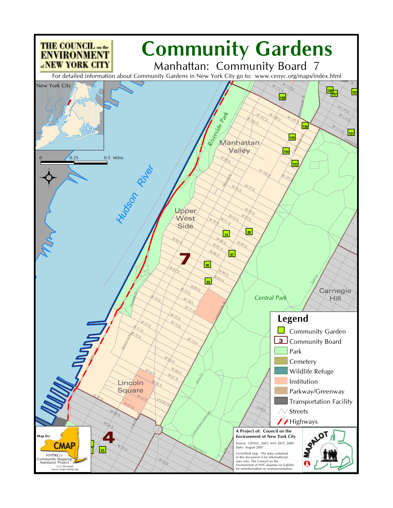